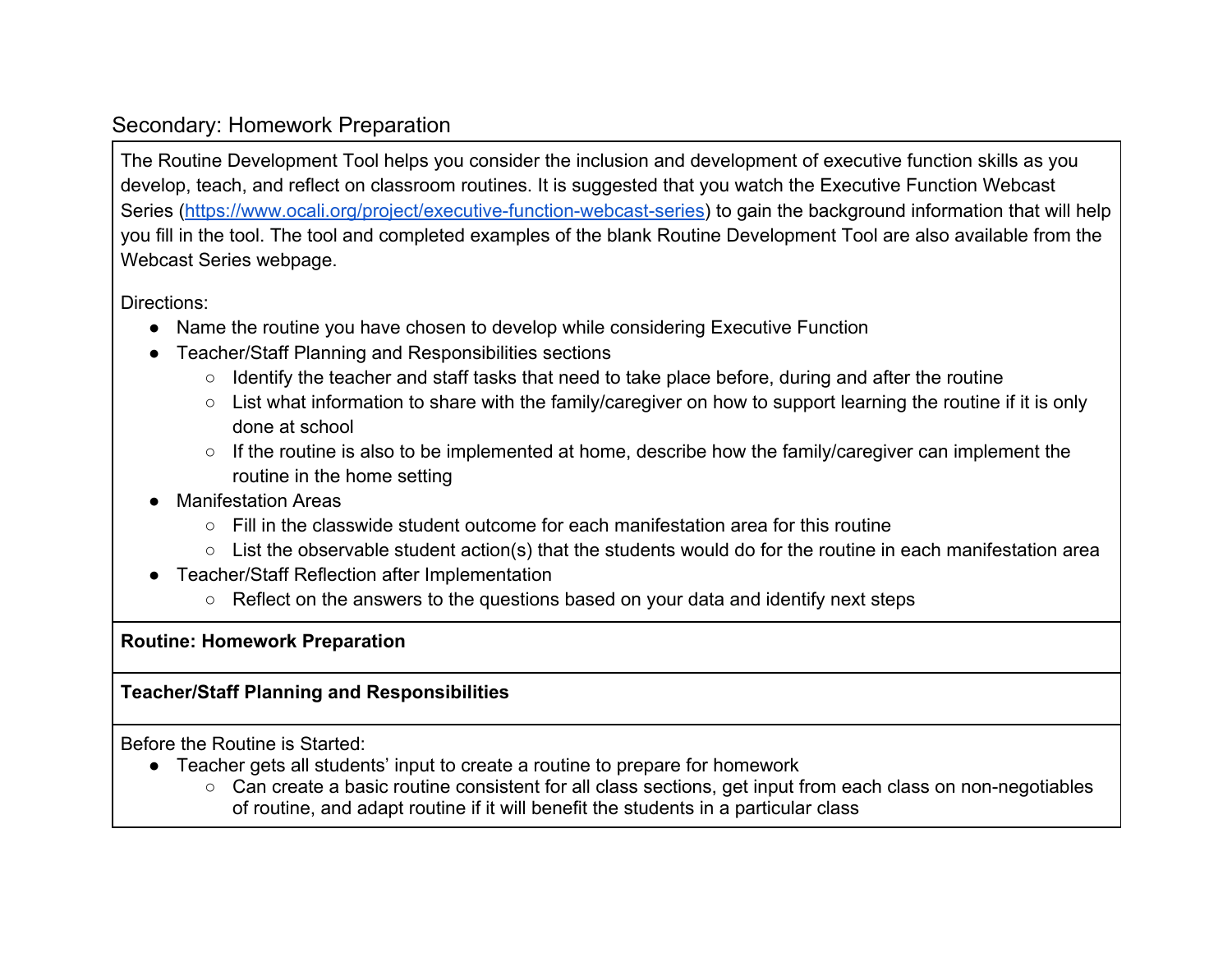## Secondary: Homework Preparation

The Routine Development Tool helps you consider the inclusion and development of executive function skills as you develop, teach, and reflect on classroom routines. It is suggested that you watch the Executive Function Webcast Series [\(https://www.ocali.org/project/executive-function-webcast-series\)](https://www.ocali.org/project/executive-function-webcast-series) to gain the background information that will help you fill in the tool. The tool and completed examples of the blank Routine Development Tool are also available from the Webcast Series webpage.

Directions:

- Name the routine you have chosen to develop while considering Executive Function
- Teacher/Staff Planning and Responsibilities sections
	- Identify the teacher and staff tasks that need to take place before, during and after the routine
	- List what information to share with the family/caregiver on how to support learning the routine if it is only done at school
	- If the routine is also to be implemented at home, describe how the family/caregiver can implement the routine in the home setting
- **Manifestation Areas** 
	- $\circ$  Fill in the classwide student outcome for each manifestation area for this routine
	- List the observable student action(s) that the students would do for the routine in each manifestation area
- Teacher/Staff Reflection after Implementation
	- Reflect on the answers to the questions based on your data and identify next steps

**Routine: Homework Preparation** 

## **Teacher/Staff Planning and Responsibilities**

Before the Routine is Started:

- Teacher gets all students' input to create a routine to prepare for homework
	- Can create a basic routine consistent for all class sections, get input from each class on non-negotiables of routine, and adapt routine if it will benefit the students in a particular class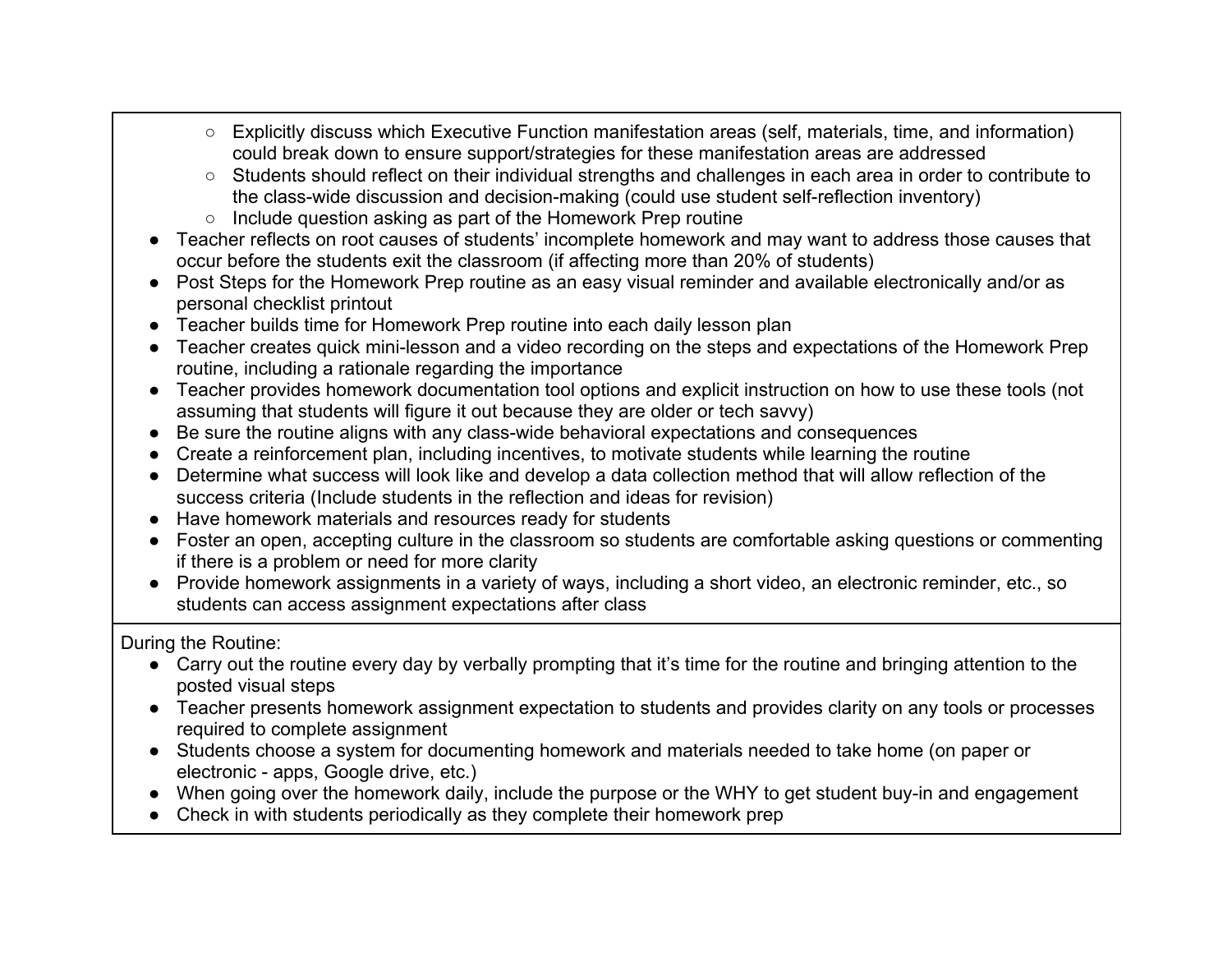- Explicitly discuss which Executive Function manifestation areas (self, materials, time, and information) could break down to ensure support/strategies for these manifestation areas are addressed
- Students should reflect on their individual strengths and challenges in each area in order to contribute to the class-wide discussion and decision-making (could use student self-reflection inventory)
- Include question asking as part of the Homework Prep routine
- Teacher reflects on root causes of students' incomplete homework and may want to address those causes that occur before the students exit the classroom (if affecting more than 20% of students)
- Post Steps for the Homework Prep routine as an easy visual reminder and available electronically and/or as personal checklist printout
- Teacher builds time for Homework Prep routine into each daily lesson plan
- Teacher creates quick mini-lesson and a video recording on the steps and expectations of the Homework Prep routine, including a rationale regarding the importance
- Teacher provides homework documentation tool options and explicit instruction on how to use these tools (not assuming that students will figure it out because they are older or tech savvy)
- Be sure the routine aligns with any class-wide behavioral expectations and consequences
- Create a reinforcement plan, including incentives, to motivate students while learning the routine
- Determine what success will look like and develop a data collection method that will allow reflection of the success criteria (Include students in the reflection and ideas for revision)
- Have homework materials and resources ready for students
- Foster an open, accepting culture in the classroom so students are comfortable asking questions or commenting if there is a problem or need for more clarity
- Provide homework assignments in a variety of ways, including a short video, an electronic reminder, etc., so students can access assignment expectations after class

During the Routine:

- Carry out the routine every day by verbally prompting that it's time for the routine and bringing attention to the posted visual steps
- Teacher presents homework assignment expectation to students and provides clarity on any tools or processes required to complete assignment
- Students choose a system for documenting homework and materials needed to take home (on paper or electronic - apps, Google drive, etc.)
- When going over the homework daily, include the purpose or the WHY to get student buy-in and engagement
- Check in with students periodically as they complete their homework prep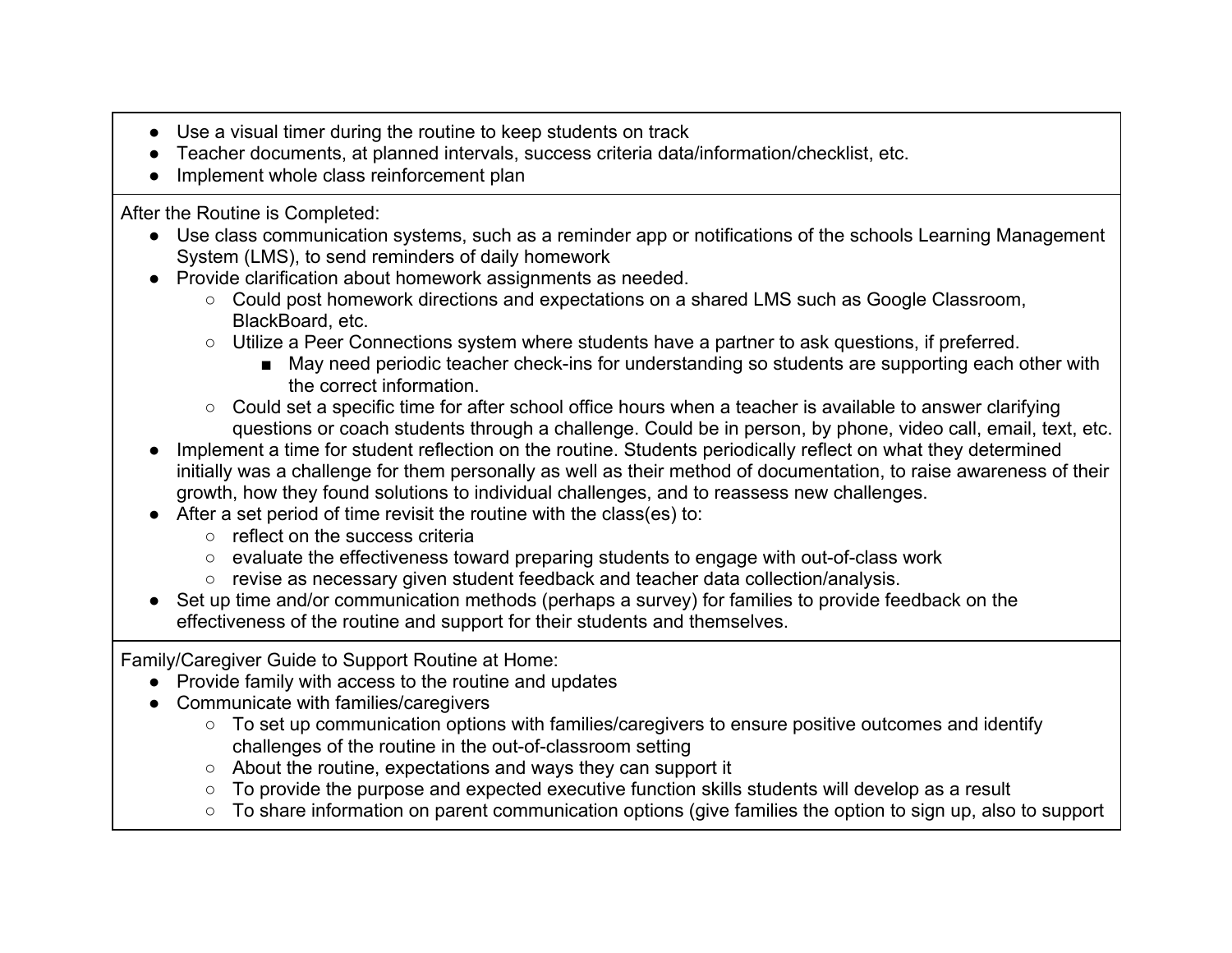- Use a visual timer during the routine to keep students on track
- Teacher documents, at planned intervals, success criteria data/information/checklist, etc.
- Implement whole class reinforcement plan

After the Routine is Completed:

- Use class communication systems, such as a reminder app or notifications of the schools Learning Management System (LMS), to send reminders of daily homework
- Provide clarification about homework assignments as needed.
	- Could post homework directions and expectations on a shared LMS such as Google Classroom, BlackBoard, etc.
	- Utilize a Peer Connections system where students have a partner to ask questions, if preferred.
		- May need periodic teacher check-ins for understanding so students are supporting each other with the correct information.
	- Could set a specific time for after school office hours when a teacher is available to answer clarifying questions or coach students through a challenge. Could be in person, by phone, video call, email, text, etc.
- Implement a time for student reflection on the routine. Students periodically reflect on what they determined initially was a challenge for them personally as well as their method of documentation, to raise awareness of their growth, how they found solutions to individual challenges, and to reassess new challenges.
- After a set period of time revisit the routine with the class(es) to:
	- reflect on the success criteria
	- evaluate the effectiveness toward preparing students to engage with out-of-class work
	- revise as necessary given student feedback and teacher data collection/analysis.
- Set up time and/or communication methods (perhaps a survey) for families to provide feedback on the effectiveness of the routine and support for their students and themselves.

Family/Caregiver Guide to Support Routine at Home:

- Provide family with access to the routine and updates
- Communicate with families/caregivers
	- To set up communication options with families/caregivers to ensure positive outcomes and identify challenges of the routine in the out-of-classroom setting
	- About the routine, expectations and ways they can support it
	- To provide the purpose and expected executive function skills students will develop as a result
	- To share information on parent communication options (give families the option to sign up, also to support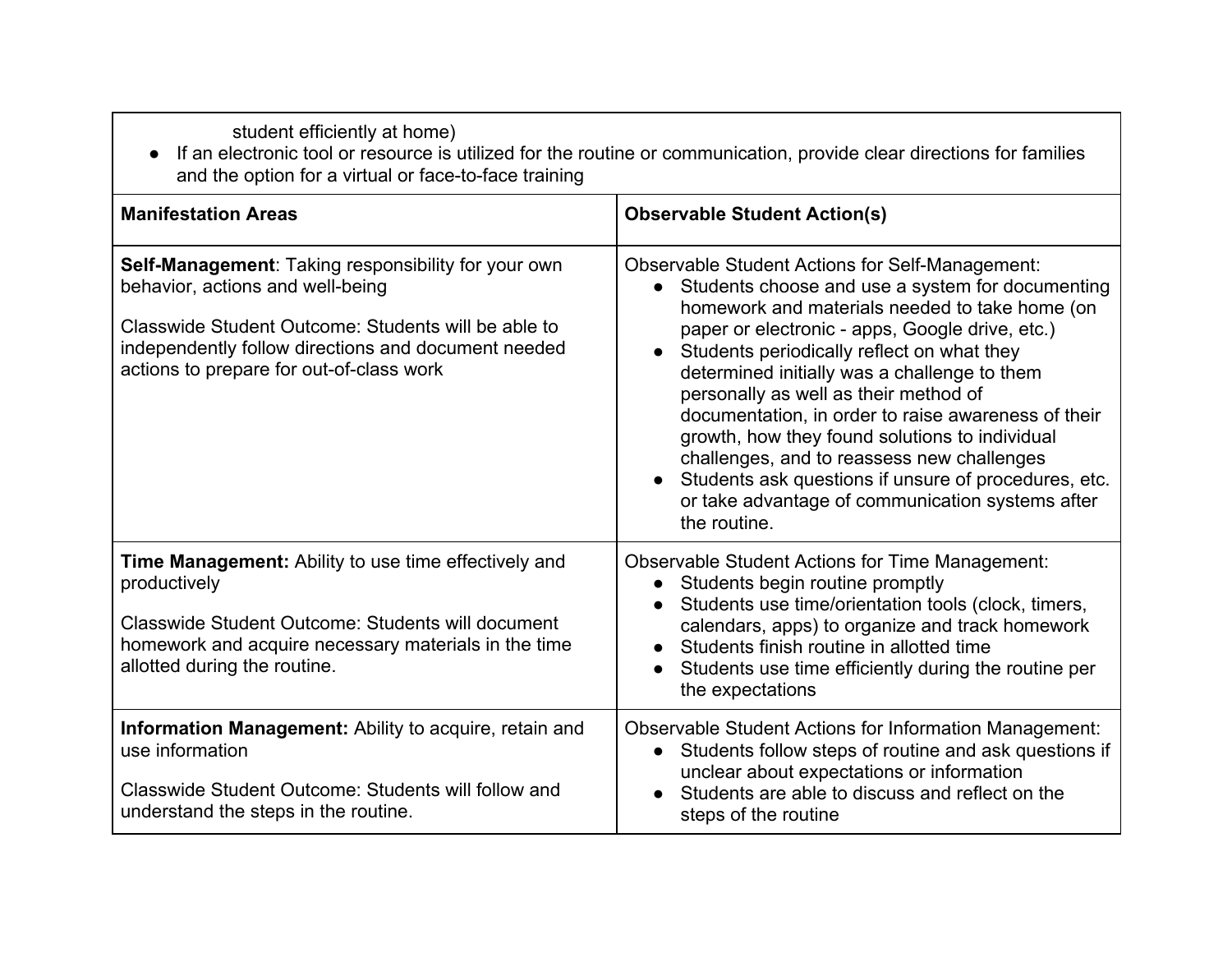student efficiently at home)

● If an electronic tool or resource is utilized for the routine or communication, provide clear directions for families and the option for a virtual or face-to-face training

| <b>Manifestation Areas</b>                                                                                                                                                                                                                        | <b>Observable Student Action(s)</b>                                                                                                                                                                                                                                                                                                                                                                                                                                                                                                                                                                                                                    |
|---------------------------------------------------------------------------------------------------------------------------------------------------------------------------------------------------------------------------------------------------|--------------------------------------------------------------------------------------------------------------------------------------------------------------------------------------------------------------------------------------------------------------------------------------------------------------------------------------------------------------------------------------------------------------------------------------------------------------------------------------------------------------------------------------------------------------------------------------------------------------------------------------------------------|
| Self-Management: Taking responsibility for your own<br>behavior, actions and well-being<br>Classwide Student Outcome: Students will be able to<br>independently follow directions and document needed<br>actions to prepare for out-of-class work | <b>Observable Student Actions for Self-Management:</b><br>Students choose and use a system for documenting<br>$\bullet$<br>homework and materials needed to take home (on<br>paper or electronic - apps, Google drive, etc.)<br>Students periodically reflect on what they<br>determined initially was a challenge to them<br>personally as well as their method of<br>documentation, in order to raise awareness of their<br>growth, how they found solutions to individual<br>challenges, and to reassess new challenges<br>Students ask questions if unsure of procedures, etc.<br>or take advantage of communication systems after<br>the routine. |
| <b>Time Management:</b> Ability to use time effectively and<br>productively<br>Classwide Student Outcome: Students will document<br>homework and acquire necessary materials in the time<br>allotted during the routine.                          | <b>Observable Student Actions for Time Management:</b><br>Students begin routine promptly<br>$\bullet$<br>Students use time/orientation tools (clock, timers,<br>calendars, apps) to organize and track homework<br>Students finish routine in allotted time<br>Students use time efficiently during the routine per<br>the expectations                                                                                                                                                                                                                                                                                                               |
| Information Management: Ability to acquire, retain and<br>use information<br>Classwide Student Outcome: Students will follow and<br>understand the steps in the routine.                                                                          | Observable Student Actions for Information Management:<br>Students follow steps of routine and ask questions if<br>$\bullet$<br>unclear about expectations or information<br>Students are able to discuss and reflect on the<br>steps of the routine                                                                                                                                                                                                                                                                                                                                                                                                   |